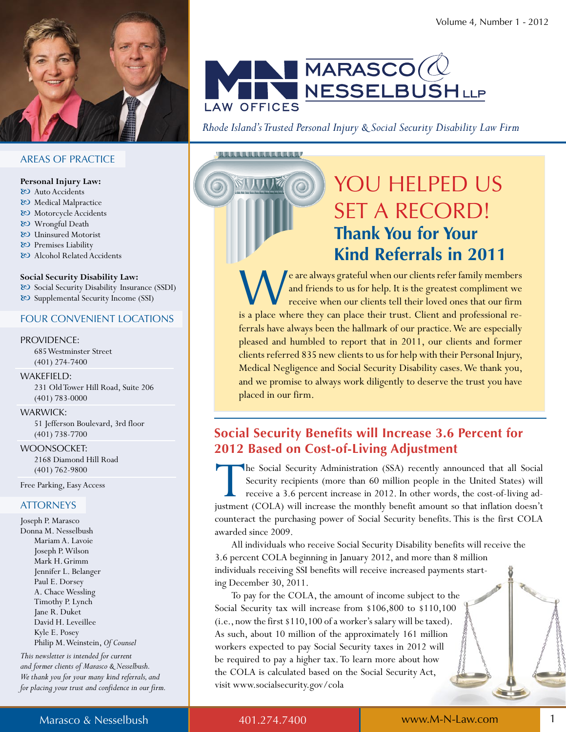

## $\blacksquare$ MARASCO $(\lozenge$ **NESSELBUSHLLP LAW OFFICES**

Rhode Island's Trusted Personal Injury & Social Security Disability Law Firm

<u>AAAAAAAAAAAAAAO</u>

## YOU HELPED US **SET A RECORD! Thank You for Your Kind Referrals in 2011**

'e are always grateful when our clients refer family members and friends to us for help. It is the greatest compliment we receive when our clients tell their loved ones that our firm is a place where they can place their trust. Client and professional referrals have always been the hallmark of our practice. We are especially pleased and humbled to report that in 2011, our clients and former clients referred 835 new clients to us for help with their Personal Injury, Medical Negligence and Social Security Disability cases. We thank you, and we promise to always work diligently to deserve the trust you have placed in our firm.

### **Social Security Benefits will Increase 3.6 Percent for 2012 Based on Cost-of-Living Adjustment**

The Social Security Administration (SSA) recently announced that all Social Security recipients (more than 60 million people in the United States) will receive a 3.6 percent increase in 2012. In other words, the cost-of-living adjustment (COLA) will increase the monthly benefit amount so that inflation doesn't counteract the purchasing power of Social Security benefits. This is the first COLA awarded since 2009.

All individuals who receive Social Security Disability benefits will receive the 3.6 percent COLA beginning in January 2012, and more than 8 million individuals receiving SSI benefits will receive increased payments starting December 30, 2011.

To pay for the COLA, the amount of income subject to the Social Security tax will increase from \$106,800 to \$110,100 (i.e., now the first \$110,100 of a worker's salary will be taxed). As such, about 10 million of the approximately 161 million workers expected to pay Social Security taxes in 2012 will be required to pay a higher tax. To learn more about how the COLA is calculated based on the Social Security Act, visit www.socialsecurity.gov/cola

#### **AREAS OF PRACTICE**

#### Personal Injury Law:

- & Auto Accidents
- & Medical Malpractice
- & Motorcycle Accidents & Wrongful Death
- & Uninsured Motorist
- & Premises Liability
- & Alcohol Related Accidents

#### Social Security Disability Law:

& Social Security Disability Insurance (SSDI) & Supplemental Security Income (SSI)

#### **FOUR CONVENIENT LOCATIONS**

#### **PROVIDENCE:**

685 Westminster Street  $(401)$  274-7400

#### WAKEFIELD:

231 Old Tower Hill Road, Suite 206  $(401)$  783-0000

#### **WARWICK:**

51 Jefferson Boulevard, 3rd floor  $(401)$  738-7700

#### **WOONSOCKET:**

2168 Diamond Hill Road  $(401) 762 - 9800$ 

Free Parking, Easy Access

#### **ATTORNEYS**

Joseph P. Marasco Donna M. Nesselbush Mariam A. Lavoie Joseph P. Wilson Mark H. Grimm Jennifer L. Belanger Paul E. Dorsey A. Chace Wessling Timothy P. Lynch Jane R. Duket David H. Leveillee Kyle E. Posey Philip M. Weinstein, Of Counsel

This newsletter is intended for current and former clients of Marasco & Nesselbush. We thank you for your many kind referrals, and for placing your trust and confidence in our firm.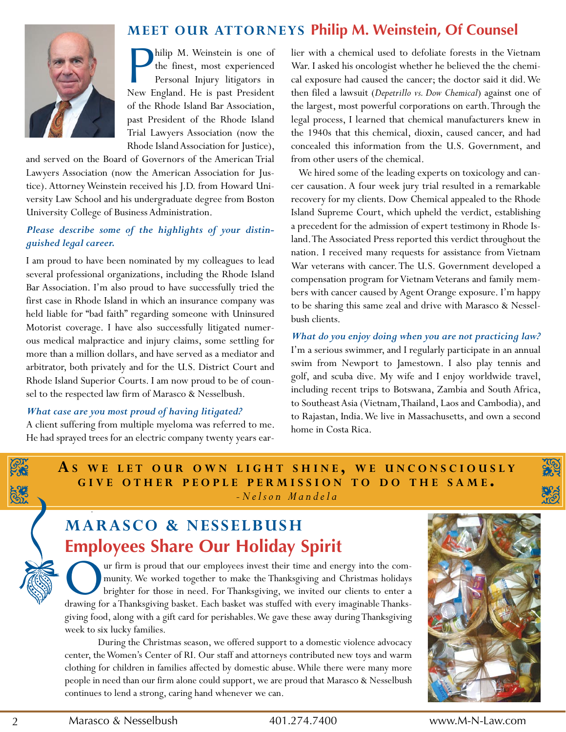

### **MEET OUR ATTORNEYS Philip M. Weinstein, Of Counsel**

**Philip M. Weinstein is one of**<br>the finest, most experienced<br>Personal Injury litigators in<br>New England. He is past President hilip M. Weinstein is one of the finest, most experienced Personal Injury litigators in of the Rhode Island Bar Association, past President of the Rhode Island Trial Lawyers Association (now the Rhode Island Association for Justice),

and served on the Board of Governors of the American Trial Lawyers Association (now the American Association for Justice). Attorney Weinstein received his J.D. from Howard University Law School and his undergraduate degree from Boston University College of Business Administration.

#### *Please describe some of the highlights of your distinguished legal career.*

I am proud to have been nominated by my colleagues to lead several professional organizations, including the Rhode Island Bar Association. I'm also proud to have successfully tried the first case in Rhode Island in which an insurance company was held liable for "bad faith" regarding someone with Uninsured Motorist coverage. I have also successfully litigated numerous medical malpractice and injury claims, some settling for more than a million dollars, and have served as a mediator and arbitrator, both privately and for the U.S. District Court and Rhode Island Superior Courts. I am now proud to be of counsel to the respected law firm of Marasco & Nesselbush.

#### *What case are you most proud of having litigated?*

A client suffering from multiple myeloma was referred to me. He had sprayed trees for an electric company twenty years earlier with a chemical used to defoliate forests in the Vietnam War. I asked his oncologist whether he believed the the chemical exposure had caused the cancer; the doctor said it did. We then filed a lawsuit (*Depetrillo vs. Dow Chemical*) against one of the largest, most powerful corporations on earth. Through the legal process, I learned that chemical manufacturers knew in the 1940s that this chemical, dioxin, caused cancer, and had concealed this information from the U.S. Government, and from other users of the chemical.

We hired some of the leading experts on toxicology and cancer causation. A four week jury trial resulted in a remarkable recovery for my clients. Dow Chemical appealed to the Rhode Island Supreme Court, which upheld the verdict, establishing a precedent for the admission of expert testimony in Rhode Island. The Associated Press reported this verdict throughout the nation. I received many requests for assistance from Vietnam War veterans with cancer. The U.S. Government developed a compensation program for Vietnam Veterans and family members with cancer caused by Agent Orange exposure. I'm happy to be sharing this same zeal and drive with Marasco & Nesselbush clients.

*What do you enjoy doing when you are not practicing law?* I'm a serious swimmer, and I regularly participate in an annual swim from Newport to Jamestown. I also play tennis and golf, and scuba dive. My wife and I enjoy worldwide travel, including recent trips to Botswana, Zambia and South Africa, to Southeast Asia (Vietnam, Thailand, Laos and Cambodia), and to Rajastan, India. We live in Massachusetts, and own a second home in Costa Rica.

**A<sup>S</sup> w E L E T O U R O w N L I g h T S h I N E , w E U N c O N S c I O U S L Y g I v E O T h E R P E O P L E P E R M I S S I O N T O D O T h E S A M E .** *- N e l s o n M a n d e l a*

## **MARAScO & NESSELbUSh Employees Share Our Holiday Spirit**

O ur firm is proud that our employees invest their time and energy into the community. We worked together to make the Thanksgiving and Christmas holidays brighter for those in need. For Thanksgiving, we invited our clients to enter a drawing for a Thanksgiving basket. Each basket was stuffed with every imaginable Thanksgiving food, along with a gift card for perishables. We gave these away during Thanksgiving week to six lucky families.

During the Christmas season, we offered support to a domestic violence advocacy center, the Women's Center of RI. Our staff and attorneys contributed new toys and warm clothing for children in families affected by domestic abuse. While there were many more people in need than our firm alone could support, we are proud that Marasco & Nesselbush continues to lend a strong, caring hand whenever we can.

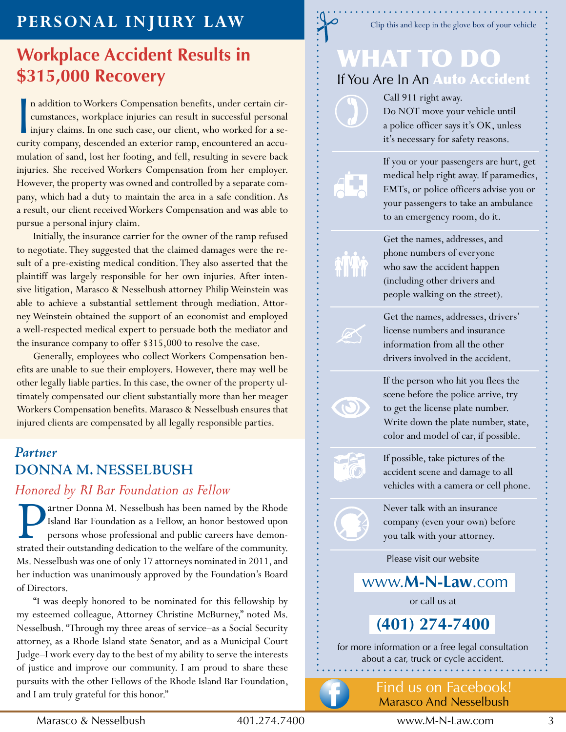## **PERSONAL INJURY LAw**

## **Workplace Accident Results in \$315,000 Recovery**

n addition to Workers Compensation benefits, under certain circumstances, workplace injuries can result in successful personal injury claims. In one such case, our client, who worked for a security company, descended an ex n addition to Workers Compensation benefits, under certain circumstances, workplace injuries can result in successful personal injury claims. In one such case, our client, who worked for a semulation of sand, lost her footing, and fell, resulting in severe back injuries. She received Workers Compensation from her employer. However, the property was owned and controlled by a separate company, which had a duty to maintain the area in a safe condition. As a result, our client received Workers Compensation and was able to pursue a personal injury claim.

Initially, the insurance carrier for the owner of the ramp refused to negotiate. They suggested that the claimed damages were the result of a pre-existing medical condition. They also asserted that the plaintiff was largely responsible for her own injuries. After intensive litigation, Marasco & Nesselbush attorney Philip Weinstein was able to achieve a substantial settlement through mediation. Attorney Weinstein obtained the support of an economist and employed a well-respected medical expert to persuade both the mediator and the insurance company to offer \$315,000 to resolve the case.

Generally, employees who collect Workers Compensation benefits are unable to sue their employers. However, there may well be other legally liable parties. In this case, the owner of the property ultimately compensated our client substantially more than her meager Workers Compensation benefits. Marasco & Nesselbush ensures that injured clients are compensated by all legally responsible parties.

## **Partner DONNA M. NESSELBUSH**

*Honored by RI Bar Foundation as Fellow*<br> **Partner Donna M. Nesselbush has been named Island Bar Foundation as a Fellow, an honor b<br>
persons whose professional and public career** artner Donna M. Nesselbush has been named by the Rhode Island Bar Foundation as a Fellow, an honor bestowed upon persons whose professional and public careers have demonstrated their outstanding dedication to the welfare of the community. Ms. Nesselbush was one of only 17 attorneys nominated in 2011, and her induction was unanimously approved by the Foundation's Board of Directors.

"I was deeply honored to be nominated for this fellowship by my esteemed colleague, Attorney Christine McBurney," noted Ms. Nesselbush. "Through my three areas of service–as a Social Security attorney, as a Rhode Island state Senator, and as a Municipal Court Judge-I work every day to the best of my ability to serve the interests of justice and improve our community. I am proud to share these pursuits with the other Fellows of the Rhode Island Bar Foundation, and I am truly grateful for this honor."

Clip this and keep in the glove box of your vehicle

## What to Do If You Are In An Auto Accident

Call 911 right away. Do NOT move your vehicle until a police officer says it's OK, unless it's necessary for safety reasons.

If you or your passengers are hurt, get medical help right away. If paramedics, EMTs, or police officers advise you or your passengers to take an ambulance to an emergency room, do it.

Get the names, addresses, and phone numbers of everyone who saw the accident happen (including other drivers and people walking on the street).

Get the names, addresses, drivers' license numbers and insurance information from all the other drivers involved in the accident.

If the person who hit you flees the scene before the police arrive, try to get the license plate number. Write down the plate number, state, color and model of car, if possible.

If possible, take pictures of the accident scene and damage to all vehicles with a camera or cell phone.

Never talk with an insurance company (even your own) before you talk with your attorney.

Please visit our website

www.**M-n-Law**.com

or call us at

**(401) 274-7400** 

for more information or a free legal consultation about a car, truck or cycle accident.



 $\bigcirc$ 

16

find us on facebook! Marasco And Nesselbush